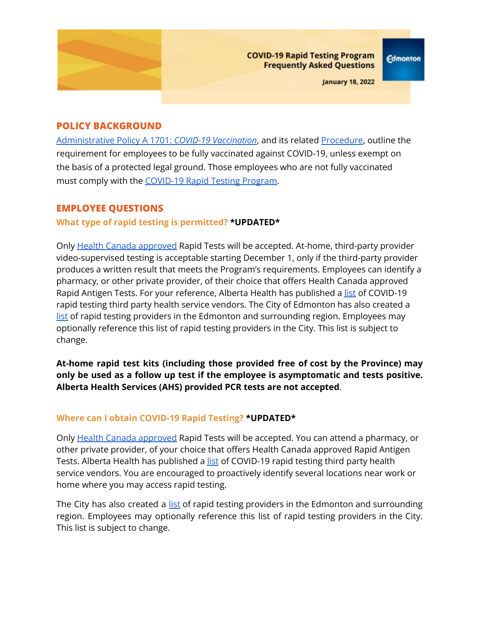

**January 18, 2022** 

# **POLICY BACKGROUND**

[Administrative](https://www.edmonton.ca/sites/default/files/public-files/assets/PDF/A1701.pdf) Policy A 1701: *COVID-19 Vaccination*, and its related [Procedure](https://www.edmonton.ca/sites/default/files/public-files/assets/PDF/A1701_COVID-19_Vaccination_Procedure.pdf), outline the requirement for employees to be fully vaccinated against COVID-19, unless exempt on the basis of a protected legal ground. Those employees who are not fully vaccinated must comply with the [COVID-19](https://www.edmonton.ca/sites/default/files/public-files/assets/PDF/COVID-19-Vaccination-Policy-Rapid-Testing-Program.pdf?cb=1634217430) Rapid Testing Program.

# **EMPLOYEE QUESTIONS**

## **What type of rapid testing is permitted? \*UPDATED\***

Only Health Canada [approved](https://www.canada.ca/en/health-canada/services/drugs-health-products/covid19-industry/medical-devices/authorized/list.html) Rapid Tests will be accepted. At-home, third-party provider video-supervised testing is acceptable starting December 1, only if the third-party provider produces a written result that meets the Program's requirements. Employees can identify a pharmacy, or other private provider, of their choice that offers Health Canada approved Rapid Antigen Tests. For your reference, Alberta Health has published a [list](https://www.alberta.ca/assets/documents/covid-19-rapid-testing-third-party-health-service-vendors-businesses.pdf) of COVID-19 rapid testing third party health service vendors. The City of Edmonton has also created a [list](https://docs.google.com/spreadsheets/d/111Bu9K9CPmC1tXwk2u1WQXnQe8AHhGaXZIN1VC5i8bI/edit#gid=0) of rapid testing providers in the Edmonton and surrounding region. Employees may optionally reference this list of rapid testing providers in the City. This list is subject to change.

# **At-home rapid test kits (including those provided free of cost by the Province) may only be used as a follow up test if the employee is asymptomatic and tests positive. Alberta Health Services (AHS) provided PCR tests are not accepted**.

# **Where can I obtain COVID-19 Rapid Testing? \*UPDATED\***

Only Health Canada [approved](https://www.canada.ca/en/health-canada/services/drugs-health-products/covid19-industry/medical-devices/authorized/list.html) Rapid Tests will be accepted. You can attend a pharmacy, or other private provider, of your choice that offers Health Canada approved Rapid Antigen Tests. Alberta Health has published a [list](https://www.alberta.ca/assets/documents/covid-19-rapid-testing-third-party-health-service-vendors-businesses.pdf) of COVID-19 rapid testing third party health service vendors. You are encouraged to proactively identify several locations near work or home where you may access rapid testing.

The City has also created a [list](https://docs.google.com/spreadsheets/d/111Bu9K9CPmC1tXwk2u1WQXnQe8AHhGaXZIN1VC5i8bI/edit#gid=0) of rapid testing providers in the Edmonton and surrounding region. Employees may optionally reference this list of rapid testing providers in the City. This list is subject to change.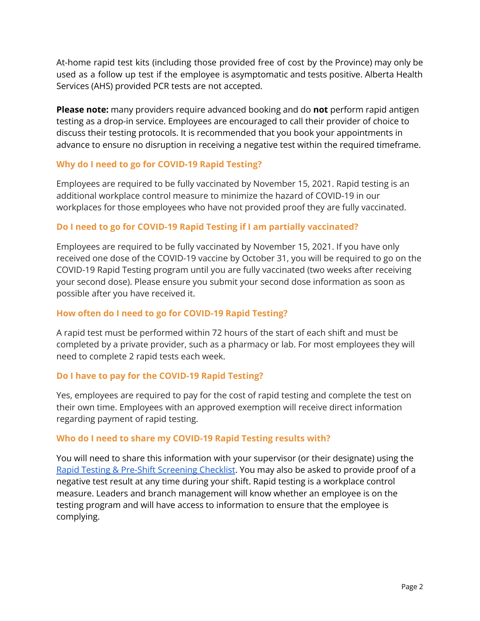At-home rapid test kits (including those provided free of cost by the Province) may only be used as a follow up test if the employee is asymptomatic and tests positive. Alberta Health Services (AHS) provided PCR tests are not accepted.

**Please note:** many providers require advanced booking and do **not** perform rapid antigen testing as a drop-in service. Employees are encouraged to call their provider of choice to discuss their testing protocols. It is recommended that you book your appointments in advance to ensure no disruption in receiving a negative test within the required timeframe.

# **Why do I need to go for COVID-19 Rapid Testing?**

Employees are required to be fully vaccinated by November 15, 2021. Rapid testing is an additional workplace control measure to minimize the hazard of COVID-19 in our workplaces for those employees who have not provided proof they are fully vaccinated.

## **Do I need to go for COVID-19 Rapid Testing if I am partially vaccinated?**

Employees are required to be fully vaccinated by November 15, 2021. If you have only received one dose of the COVID-19 vaccine by October 31, you will be required to go on the COVID-19 Rapid Testing program until you are fully vaccinated (two weeks after receiving your second dose). Please ensure you submit your second dose information as soon as possible after you have received it.

### **How often do I need to go for COVID-19 Rapid Testing?**

A rapid test must be performed within 72 hours of the start of each shift and must be completed by a private provider, such as a pharmacy or lab. For most employees they will need to complete 2 rapid tests each week.

### **Do I have to pay for the COVID-19 Rapid Testing?**

Yes, employees are required to pay for the cost of rapid testing and complete the test on their own time. Employees with an approved exemption will receive direct information regarding payment of rapid testing.

### **Who do I need to share my COVID-19 Rapid Testing results with?**

You will need to share this information with your supervisor (or their designate) using the Rapid Testing & Pre-Shift [Screening](https://app.smartsheet.com/b/form/9f4fae73e82847a4987ac4f9168b3087) Checklist. You may also be asked to provide proof of a negative test result at any time during your shift. Rapid testing is a workplace control measure. Leaders and branch management will know whether an employee is on the testing program and will have access to information to ensure that the employee is complying.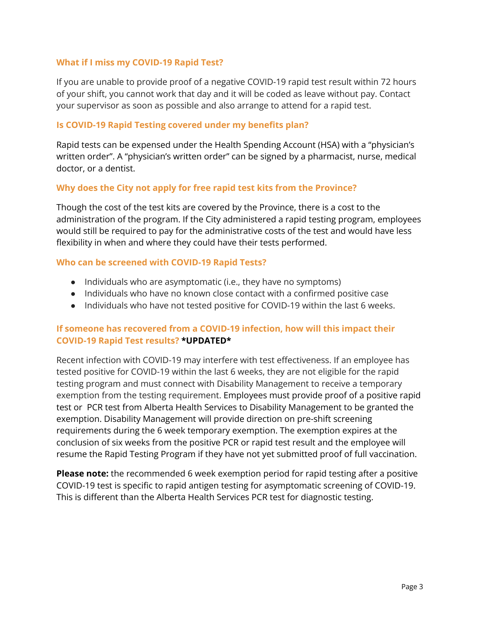### **What if I miss my COVID-19 Rapid Test?**

If you are unable to provide proof of a negative COVID-19 rapid test result within 72 hours of your shift, you cannot work that day and it will be coded as leave without pay. Contact your supervisor as soon as possible and also arrange to attend for a rapid test.

### **Is COVID-19 Rapid Testing covered under my benefits plan?**

Rapid tests can be expensed under the Health Spending Account (HSA) with a "physician's written order". A "physician's written order" can be signed by a pharmacist, nurse, medical doctor, or a dentist.

### **Why does the City not apply for free rapid test kits from the Province?**

Though the cost of the test kits are covered by the Province, there is a cost to the administration of the program. If the City administered a rapid testing program, employees would still be required to pay for the administrative costs of the test and would have less flexibility in when and where they could have their tests performed.

### **Who can be screened with COVID-19 Rapid Tests?**

- Individuals who are asymptomatic (i.e., they have no symptoms)
- Individuals who have no known close contact with a confirmed positive case
- Individuals who have not tested positive for COVID-19 within the last 6 weeks.

### **If someone has recovered from a COVID-19 infection, how will this impact their COVID-19 Rapid Test results? \*UPDATED\***

Recent infection with COVID-19 may interfere with test effectiveness. If an employee has tested positive for COVID-19 within the last 6 weeks, they are not eligible for the rapid testing program and must connect with Disability Management to receive a temporary exemption from the testing requirement. Employees must provide proof of a positive rapid test or PCR test from Alberta Health Services to Disability Management to be granted the exemption. Disability Management will provide direction on pre-shift screening requirements during the 6 week temporary exemption. The exemption expires at the conclusion of six weeks from the positive PCR or rapid test result and the employee will resume the Rapid Testing Program if they have not yet submitted proof of full vaccination.

**Please note:** the recommended 6 week exemption period for rapid testing after a positive COVID-19 test is specific to rapid antigen testing for asymptomatic screening of COVID-19. This is different than the Alberta Health Services PCR test for diagnostic testing.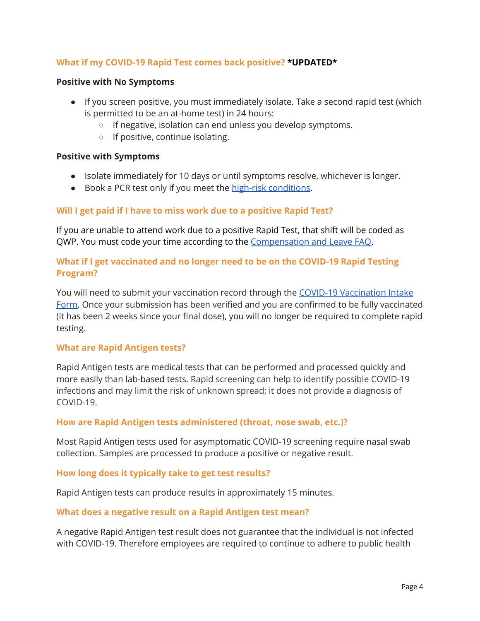## **What if my COVID-19 Rapid Test comes back positive? \*UPDATED\***

### **Positive with No Symptoms**

- If you screen positive, you must immediately isolate. Take a second rapid test (which is permitted to be an at-home test) in 24 hours:
	- If negative, isolation can end unless you develop symptoms.
	- If positive, continue isolating.

### **Positive with Symptoms**

- Isolate immediately for 10 days or until symptoms resolve, whichever is longer.
- Book a PCR test only if you meet the high-risk [conditions](https://www.alberta.ca/rapid-testing-at-home.aspx).

### **Will I get paid if I have to miss work due to a positive Rapid Test?**

If you are unable to attend work due to a positive Rapid Test, that shift will be coded as QWP. You must code your time according to the [Compensation](https://www.edmonton.ca/public-files/assets/document?path=PDF/COVID-19_Employee_Compensation_and_Leave_FAQ.pdf) and Leave FAQ.

## **What if I get vaccinated and no longer need to be on the COVID-19 Rapid Testing Program?**

You will need to submit your vaccination record through the COVID-19 [Vaccination](https://www.edmonton.ca/programs-services/emergency-preparedness/covid-19/employee-vaccination-policy) Intake [Form.](https://www.edmonton.ca/programs-services/emergency-preparedness/covid-19/employee-vaccination-policy) Once your submission has been verified and you are confirmed to be fully vaccinated (it has been 2 weeks since your final dose), you will no longer be required to complete rapid testing.

### **What are Rapid Antigen tests?**

Rapid Antigen tests are medical tests that can be performed and processed quickly and more easily than lab-based tests. Rapid screening can help to identify possible COVID-19 infections and may limit the risk of unknown spread; it does not provide a diagnosis of COVID-19.

### **How are Rapid Antigen tests administered (throat, nose swab, etc.)?**

Most Rapid Antigen tests used for asymptomatic COVID-19 screening require nasal swab collection. Samples are processed to produce a positive or negative result.

### **How long does it typically take to get test results?**

Rapid Antigen tests can produce results in approximately 15 minutes.

### **What does a negative result on a Rapid Antigen test mean?**

A negative Rapid Antigen test result does not guarantee that the individual is not infected with COVID-19. Therefore employees are required to continue to adhere to public health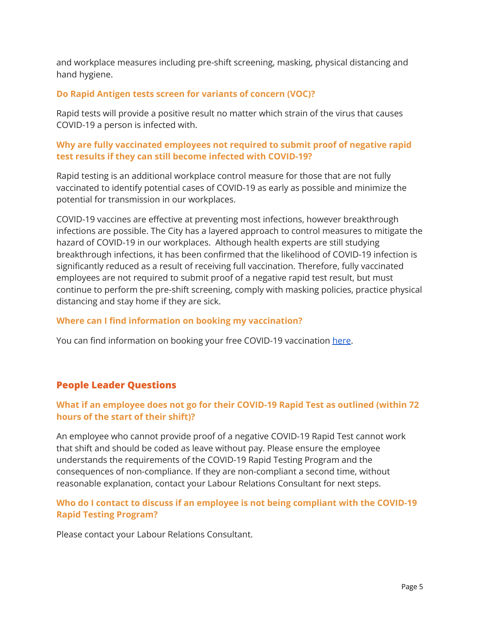and workplace measures including pre-shift screening, masking, physical distancing and hand hygiene.

### **Do Rapid Antigen tests screen for variants of concern (VOC)?**

Rapid tests will provide a positive result no matter which strain of the virus that causes COVID-19 a person is infected with.

## **Why are fully vaccinated employees not required to submit proof of negative rapid test results if they can still become infected with COVID-19?**

Rapid testing is an additional workplace control measure for those that are not fully vaccinated to identify potential cases of COVID-19 as early as possible and minimize the potential for transmission in our workplaces.

COVID-19 vaccines are effective at preventing most infections, however breakthrough infections are possible. The City has a layered approach to control measures to mitigate the hazard of COVID-19 in our workplaces. Although health experts are still studying breakthrough infections, it has been confirmed that the likelihood of COVID-19 infection is significantly reduced as a result of receiving full vaccination. Therefore, fully vaccinated employees are not required to submit proof of a negative rapid test result, but must continue to perform the pre-shift screening, comply with masking policies, practice physical distancing and stay home if they are sick.

### **Where can I find information on booking my vaccination?**

You can find information on booking your free COVID-19 vaccination [here.](https://www.alberta.ca/covid19-vaccine.aspx)

# **People Leader Questions**

## **What if an employee does not go for their COVID-19 Rapid Test as outlined (within 72 hours of the start of their shift)?**

An employee who cannot provide proof of a negative COVID-19 Rapid Test cannot work that shift and should be coded as leave without pay. Please ensure the employee understands the requirements of the COVID-19 Rapid Testing Program and the consequences of non-compliance. If they are non-compliant a second time, without reasonable explanation, contact your Labour Relations Consultant for next steps.

## **Who do I contact to discuss if an employee is not being compliant with the COVID-19 Rapid Testing Program?**

Please contact your Labour Relations Consultant.